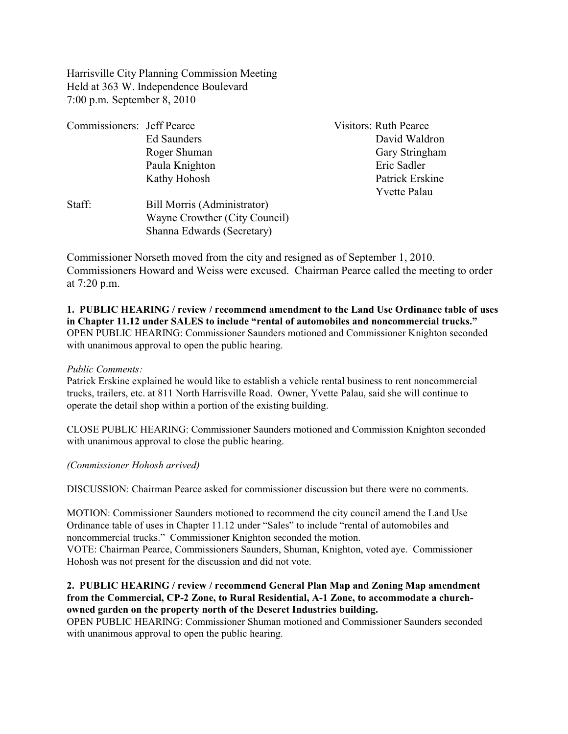Harrisville City Planning Commission Meeting Held at 363 W. Independence Boulevard 7:00 p.m. September 8, 2010

| Commissioners: Jeff Pearce |                               | <b>Visitors: Ruth Pearce</b> |
|----------------------------|-------------------------------|------------------------------|
|                            | Ed Saunders                   | David Waldron                |
|                            | Roger Shuman                  | Gary Stringham               |
|                            | Paula Knighton                | Eric Sadler                  |
|                            | Kathy Hohosh                  | Patrick Erskine              |
|                            |                               | <b>Yvette Palau</b>          |
| Staff:                     | Bill Morris (Administrator)   |                              |
|                            | Wayne Crowther (City Council) |                              |
|                            | Shanna Edwards (Secretary)    |                              |

Commissioner Norseth moved from the city and resigned as of September 1, 2010. Commissioners Howard and Weiss were excused. Chairman Pearce called the meeting to order at 7:20 p.m.

# **1. PUBLIC HEARING / review / recommend amendment to the Land Use Ordinance table of uses in Chapter 11.12 under SALES to include "rental of automobiles and noncommercial trucks."**  OPEN PUBLIC HEARING: Commissioner Saunders motioned and Commissioner Knighton seconded with unanimous approval to open the public hearing.

## *Public Comments:*

Patrick Erskine explained he would like to establish a vehicle rental business to rent noncommercial trucks, trailers, etc. at 811 North Harrisville Road. Owner, Yvette Palau, said she will continue to operate the detail shop within a portion of the existing building.

CLOSE PUBLIC HEARING: Commissioner Saunders motioned and Commission Knighton seconded with unanimous approval to close the public hearing.

*(Commissioner Hohosh arrived)*

DISCUSSION: Chairman Pearce asked for commissioner discussion but there were no comments.

MOTION: Commissioner Saunders motioned to recommend the city council amend the Land Use Ordinance table of uses in Chapter 11.12 under "Sales" to include "rental of automobiles and noncommercial trucks." Commissioner Knighton seconded the motion. VOTE: Chairman Pearce, Commissioners Saunders, Shuman, Knighton, voted aye. Commissioner Hohosh was not present for the discussion and did not vote.

# **2. PUBLIC HEARING / review / recommend General Plan Map and Zoning Map amendment from the Commercial, CP-2 Zone, to Rural Residential, A-1 Zone, to accommodate a churchowned garden on the property north of the Deseret Industries building.**

OPEN PUBLIC HEARING: Commissioner Shuman motioned and Commissioner Saunders seconded with unanimous approval to open the public hearing.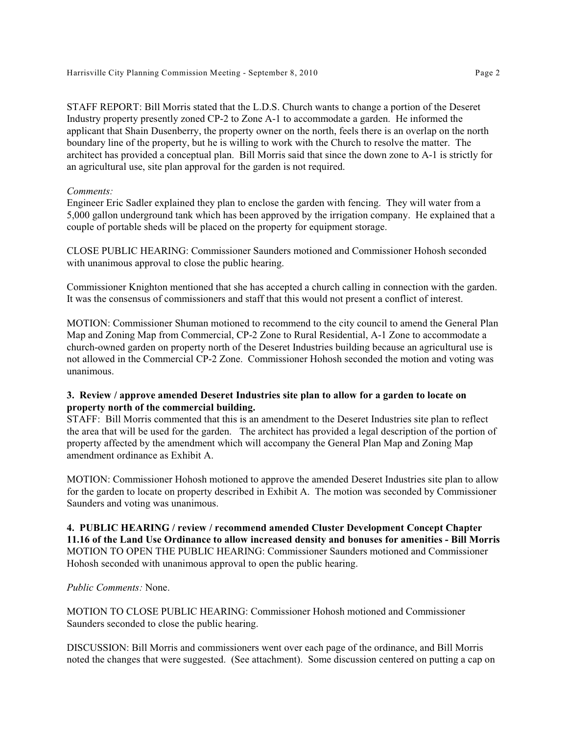STAFF REPORT: Bill Morris stated that the L.D.S. Church wants to change a portion of the Deseret Industry property presently zoned CP-2 to Zone A-1 to accommodate a garden. He informed the applicant that Shain Dusenberry, the property owner on the north, feels there is an overlap on the north boundary line of the property, but he is willing to work with the Church to resolve the matter. The architect has provided a conceptual plan. Bill Morris said that since the down zone to A-1 is strictly for an agricultural use, site plan approval for the garden is not required.

## *Comments:*

Engineer Eric Sadler explained they plan to enclose the garden with fencing. They will water from a 5,000 gallon underground tank which has been approved by the irrigation company. He explained that a couple of portable sheds will be placed on the property for equipment storage.

CLOSE PUBLIC HEARING: Commissioner Saunders motioned and Commissioner Hohosh seconded with unanimous approval to close the public hearing.

Commissioner Knighton mentioned that she has accepted a church calling in connection with the garden. It was the consensus of commissioners and staff that this would not present a conflict of interest.

MOTION: Commissioner Shuman motioned to recommend to the city council to amend the General Plan Map and Zoning Map from Commercial, CP-2 Zone to Rural Residential, A-1 Zone to accommodate a church-owned garden on property north of the Deseret Industries building because an agricultural use is not allowed in the Commercial CP-2 Zone. Commissioner Hohosh seconded the motion and voting was unanimous.

## **3. Review / approve amended Deseret Industries site plan to allow for a garden to locate on property north of the commercial building.**

STAFF: Bill Morris commented that this is an amendment to the Deseret Industries site plan to reflect the area that will be used for the garden. The architect has provided a legal description of the portion of property affected by the amendment which will accompany the General Plan Map and Zoning Map amendment ordinance as Exhibit A.

MOTION: Commissioner Hohosh motioned to approve the amended Deseret Industries site plan to allow for the garden to locate on property described in Exhibit A. The motion was seconded by Commissioner Saunders and voting was unanimous.

# **4. PUBLIC HEARING / review / recommend amended Cluster Development Concept Chapter 11.16 of the Land Use Ordinance to allow increased density and bonuses for amenities - Bill Morris** MOTION TO OPEN THE PUBLIC HEARING: Commissioner Saunders motioned and Commissioner Hohosh seconded with unanimous approval to open the public hearing.

## *Public Comments:* None.

MOTION TO CLOSE PUBLIC HEARING: Commissioner Hohosh motioned and Commissioner Saunders seconded to close the public hearing.

DISCUSSION: Bill Morris and commissioners went over each page of the ordinance, and Bill Morris noted the changes that were suggested. (See attachment). Some discussion centered on putting a cap on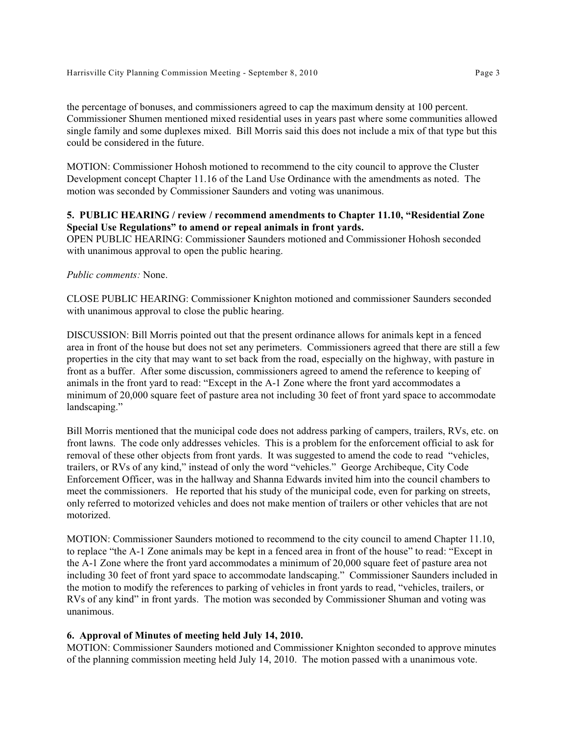the percentage of bonuses, and commissioners agreed to cap the maximum density at 100 percent. Commissioner Shumen mentioned mixed residential uses in years past where some communities allowed single family and some duplexes mixed. Bill Morris said this does not include a mix of that type but this could be considered in the future.

MOTION: Commissioner Hohosh motioned to recommend to the city council to approve the Cluster Development concept Chapter 11.16 of the Land Use Ordinance with the amendments as noted. The motion was seconded by Commissioner Saunders and voting was unanimous.

#### **5. PUBLIC HEARING / review / recommend amendments to Chapter 11.10, "Residential Zone Special Use Regulations" to amend or repeal animals in front yards.**

OPEN PUBLIC HEARING: Commissioner Saunders motioned and Commissioner Hohosh seconded with unanimous approval to open the public hearing.

#### *Public comments:* None.

CLOSE PUBLIC HEARING: Commissioner Knighton motioned and commissioner Saunders seconded with unanimous approval to close the public hearing.

DISCUSSION: Bill Morris pointed out that the present ordinance allows for animals kept in a fenced area in front of the house but does not set any perimeters. Commissioners agreed that there are still a few properties in the city that may want to set back from the road, especially on the highway, with pasture in front as a buffer. After some discussion, commissioners agreed to amend the reference to keeping of animals in the front yard to read: "Except in the A-1 Zone where the front yard accommodates a minimum of 20,000 square feet of pasture area not including 30 feet of front yard space to accommodate landscaping."

Bill Morris mentioned that the municipal code does not address parking of campers, trailers, RVs, etc. on front lawns. The code only addresses vehicles. This is a problem for the enforcement official to ask for removal of these other objects from front yards. It was suggested to amend the code to read "vehicles, trailers, or RVs of any kind," instead of only the word "vehicles." George Archibeque, City Code Enforcement Officer, was in the hallway and Shanna Edwards invited him into the council chambers to meet the commissioners. He reported that his study of the municipal code, even for parking on streets, only referred to motorized vehicles and does not make mention of trailers or other vehicles that are not motorized.

MOTION: Commissioner Saunders motioned to recommend to the city council to amend Chapter 11.10, to replace "the A-1 Zone animals may be kept in a fenced area in front of the house" to read: "Except in the A-1 Zone where the front yard accommodates a minimum of 20,000 square feet of pasture area not including 30 feet of front yard space to accommodate landscaping." Commissioner Saunders included in the motion to modify the references to parking of vehicles in front yards to read, "vehicles, trailers, or RVs of any kind" in front yards. The motion was seconded by Commissioner Shuman and voting was unanimous.

#### **6. Approval of Minutes of meeting held July 14, 2010.**

MOTION: Commissioner Saunders motioned and Commissioner Knighton seconded to approve minutes of the planning commission meeting held July 14, 2010. The motion passed with a unanimous vote.